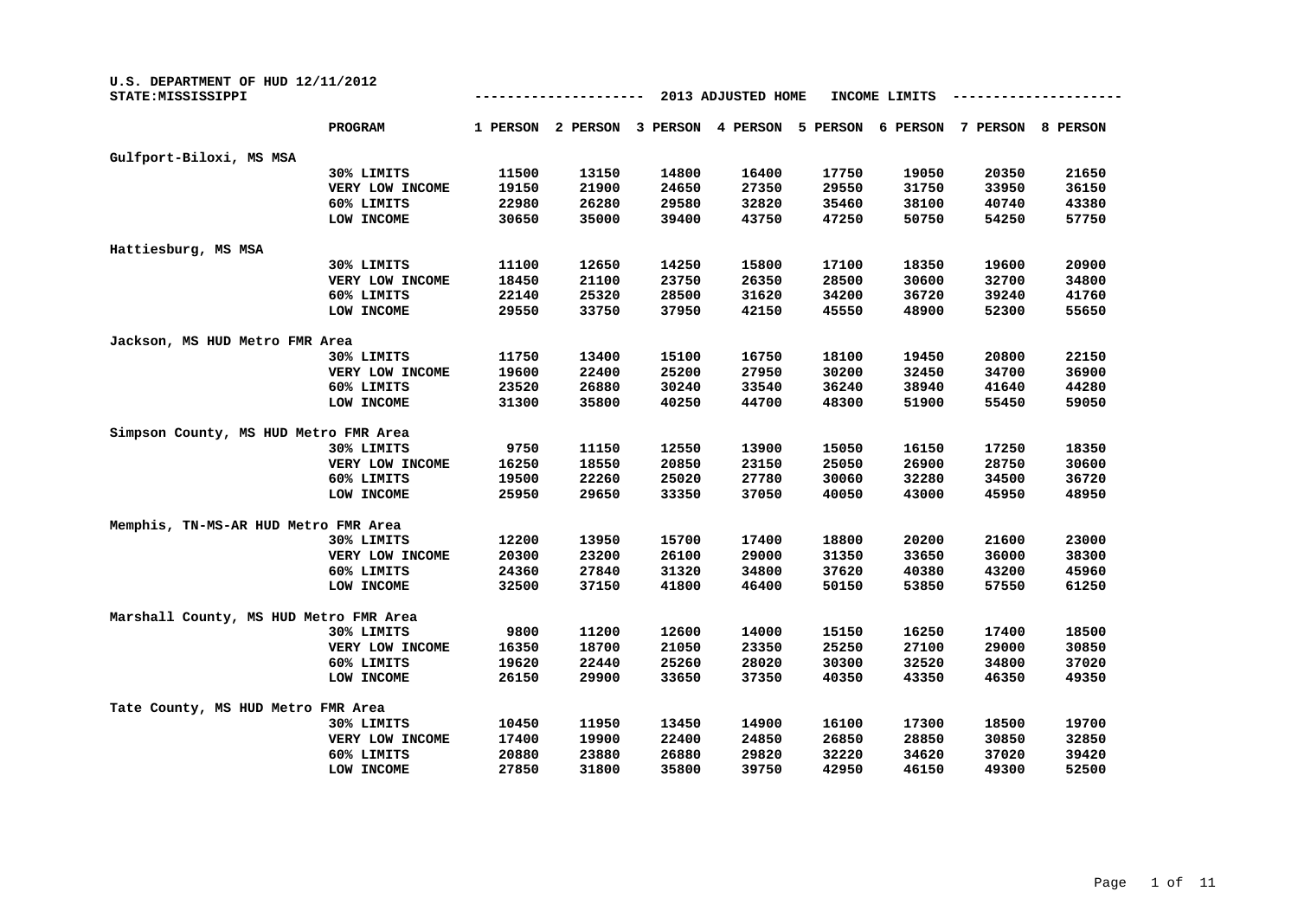| U.S. DEPARTMENT OF HUD 12/11/2012<br>STATE: MISSISSIPPI |                 |          |          |          | 2013 ADJUSTED HOME |          | INCOME LIMITS |          |          |
|---------------------------------------------------------|-----------------|----------|----------|----------|--------------------|----------|---------------|----------|----------|
|                                                         | PROGRAM         | 1 PERSON | 2 PERSON | 3 PERSON | 4 PERSON           | 5 PERSON | 6 PERSON      | 7 PERSON | 8 PERSON |
| Gulfport-Biloxi, MS MSA                                 |                 |          |          |          |                    |          |               |          |          |
|                                                         | 30% LIMITS      | 11500    | 13150    | 14800    | 16400              | 17750    | 19050         | 20350    | 21650    |
|                                                         | VERY LOW INCOME | 19150    | 21900    | 24650    | 27350              | 29550    | 31750         | 33950    | 36150    |
|                                                         | 60% LIMITS      | 22980    | 26280    | 29580    | 32820              | 35460    | 38100         | 40740    | 43380    |
|                                                         | LOW INCOME      | 30650    | 35000    | 39400    | 43750              | 47250    | 50750         | 54250    | 57750    |
| Hattiesburg, MS MSA                                     |                 |          |          |          |                    |          |               |          |          |
|                                                         | 30% LIMITS      | 11100    | 12650    | 14250    | 15800              | 17100    | 18350         | 19600    | 20900    |
|                                                         | VERY LOW INCOME | 18450    | 21100    | 23750    | 26350              | 28500    | 30600         | 32700    | 34800    |
|                                                         | 60% LIMITS      | 22140    | 25320    | 28500    | 31620              | 34200    | 36720         | 39240    | 41760    |
|                                                         | LOW INCOME      | 29550    | 33750    | 37950    | 42150              | 45550    | 48900         | 52300    | 55650    |
| Jackson, MS HUD Metro FMR Area                          |                 |          |          |          |                    |          |               |          |          |
|                                                         | 30% LIMITS      | 11750    | 13400    | 15100    | 16750              | 18100    | 19450         | 20800    | 22150    |
|                                                         | VERY LOW INCOME | 19600    | 22400    | 25200    | 27950              | 30200    | 32450         | 34700    | 36900    |
|                                                         | 60% LIMITS      | 23520    | 26880    | 30240    | 33540              | 36240    | 38940         | 41640    | 44280    |
|                                                         | LOW INCOME      | 31300    | 35800    | 40250    | 44700              | 48300    | 51900         | 55450    | 59050    |
| Simpson County, MS HUD Metro FMR Area                   |                 |          |          |          |                    |          |               |          |          |
|                                                         | 30% LIMITS      | 9750     | 11150    | 12550    | 13900              | 15050    | 16150         | 17250    | 18350    |
|                                                         | VERY LOW INCOME | 16250    | 18550    | 20850    | 23150              | 25050    | 26900         | 28750    | 30600    |
|                                                         | 60% LIMITS      | 19500    | 22260    | 25020    | 27780              | 30060    | 32280         | 34500    | 36720    |
|                                                         | LOW INCOME      | 25950    | 29650    | 33350    | 37050              | 40050    | 43000         | 45950    | 48950    |
| Memphis, TN-MS-AR HUD Metro FMR Area                    |                 |          |          |          |                    |          |               |          |          |
|                                                         | 30% LIMITS      | 12200    | 13950    | 15700    | 17400              | 18800    | 20200         | 21600    | 23000    |
|                                                         | VERY LOW INCOME | 20300    | 23200    | 26100    | 29000              | 31350    | 33650         | 36000    | 38300    |
|                                                         | 60% LIMITS      | 24360    | 27840    | 31320    | 34800              | 37620    | 40380         | 43200    | 45960    |
|                                                         | LOW INCOME      | 32500    | 37150    | 41800    | 46400              | 50150    | 53850         | 57550    | 61250    |
| Marshall County, MS HUD Metro FMR Area                  |                 |          |          |          |                    |          |               |          |          |
|                                                         | 30% LIMITS      | 9800     | 11200    | 12600    | 14000              | 15150    | 16250         | 17400    | 18500    |
|                                                         | VERY LOW INCOME | 16350    | 18700    | 21050    | 23350              | 25250    | 27100         | 29000    | 30850    |
|                                                         | 60% LIMITS      | 19620    | 22440    | 25260    | 28020              | 30300    | 32520         | 34800    | 37020    |
|                                                         | LOW INCOME      | 26150    | 29900    | 33650    | 37350              | 40350    | 43350         | 46350    | 49350    |
| Tate County, MS HUD Metro FMR Area                      |                 |          |          |          |                    |          |               |          |          |
|                                                         | 30% LIMITS      | 10450    | 11950    | 13450    | 14900              | 16100    | 17300         | 18500    | 19700    |
|                                                         | VERY LOW INCOME | 17400    | 19900    | 22400    | 24850              | 26850    | 28850         | 30850    | 32850    |
|                                                         | 60% LIMITS      | 20880    | 23880    | 26880    | 29820              | 32220    | 34620         | 37020    | 39420    |
|                                                         | LOW INCOME      | 27850    | 31800    | 35800    | 39750              | 42950    | 46150         | 49300    | 52500    |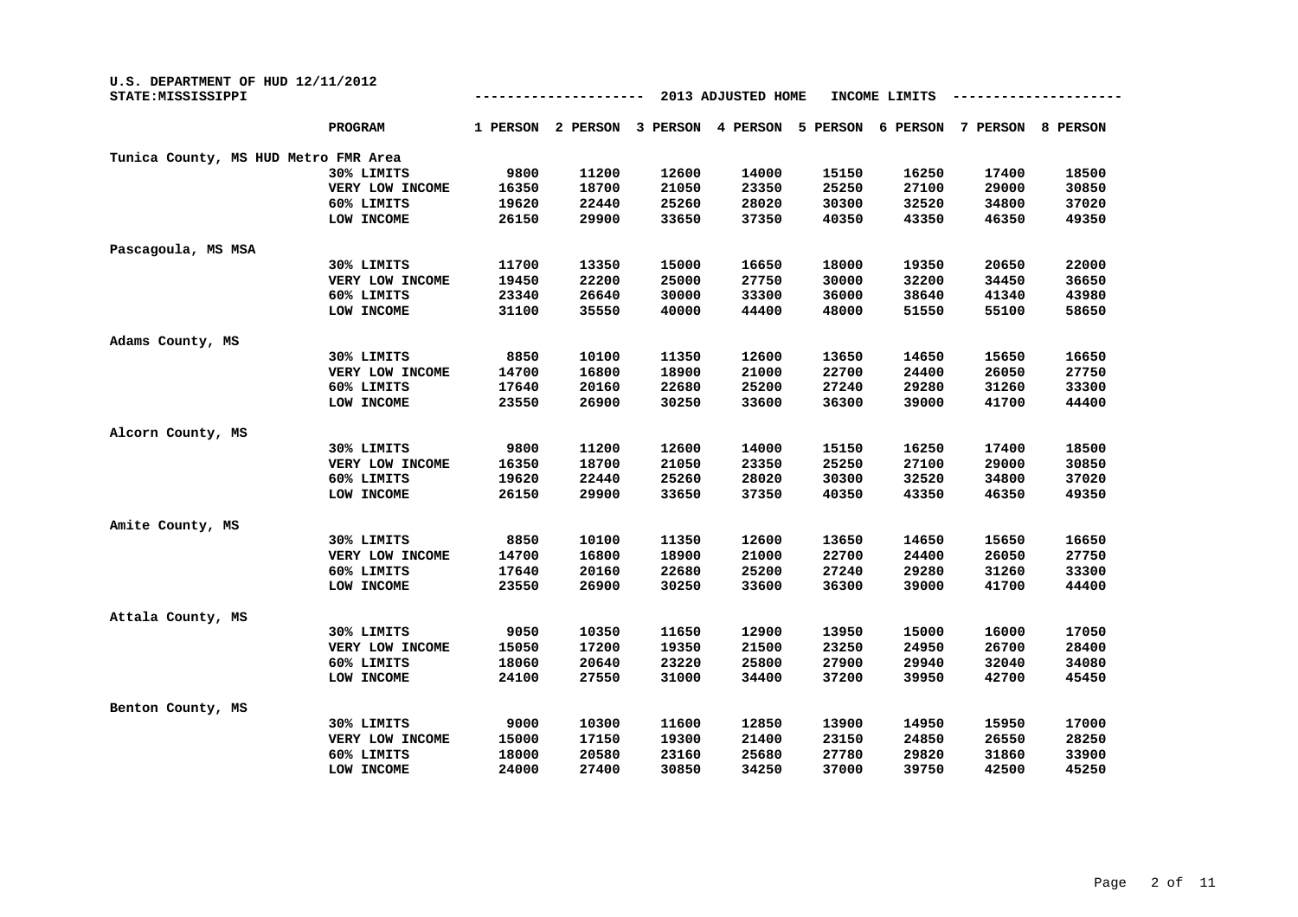| U.S. DEPARTMENT OF HUD 12/11/2012<br>STATE: MISSISSIPPI |                 |          |          | INCOME LIMITS |          |          |          |          |                 |
|---------------------------------------------------------|-----------------|----------|----------|---------------|----------|----------|----------|----------|-----------------|
|                                                         | PROGRAM         | 1 PERSON | 2 PERSON | 3 PERSON      | 4 PERSON | 5 PERSON | 6 PERSON | 7 PERSON | <b>8 PERSON</b> |
| Tunica County, MS HUD Metro FMR Area                    |                 |          |          |               |          |          |          |          |                 |
|                                                         | 30% LIMITS      | 9800     | 11200    | 12600         | 14000    | 15150    | 16250    | 17400    | 18500           |
|                                                         | VERY LOW INCOME | 16350    | 18700    | 21050         | 23350    | 25250    | 27100    | 29000    | 30850           |
|                                                         | 60% LIMITS      | 19620    | 22440    | 25260         | 28020    | 30300    | 32520    | 34800    | 37020           |
|                                                         | LOW INCOME      | 26150    | 29900    | 33650         | 37350    | 40350    | 43350    | 46350    | 49350           |
| Pascagoula, MS MSA                                      |                 |          |          |               |          |          |          |          |                 |
|                                                         | 30% LIMITS      | 11700    | 13350    | 15000         | 16650    | 18000    | 19350    | 20650    | 22000           |
|                                                         | VERY LOW INCOME | 19450    | 22200    | 25000         | 27750    | 30000    | 32200    | 34450    | 36650           |
|                                                         | 60% LIMITS      | 23340    | 26640    | 30000         | 33300    | 36000    | 38640    | 41340    | 43980           |
|                                                         | LOW INCOME      | 31100    | 35550    | 40000         | 44400    | 48000    | 51550    | 55100    | 58650           |
| Adams County, MS                                        |                 |          |          |               |          |          |          |          |                 |
|                                                         | 30% LIMITS      | 8850     | 10100    | 11350         | 12600    | 13650    | 14650    | 15650    | 16650           |
|                                                         | VERY LOW INCOME | 14700    | 16800    | 18900         | 21000    | 22700    | 24400    | 26050    | 27750           |
|                                                         | 60% LIMITS      | 17640    | 20160    | 22680         | 25200    | 27240    | 29280    | 31260    | 33300           |
|                                                         | LOW INCOME      | 23550    | 26900    | 30250         | 33600    | 36300    | 39000    | 41700    | 44400           |
| Alcorn County, MS                                       |                 |          |          |               |          |          |          |          |                 |
|                                                         | 30% LIMITS      | 9800     | 11200    | 12600         | 14000    | 15150    | 16250    | 17400    | 18500           |
|                                                         | VERY LOW INCOME | 16350    | 18700    | 21050         | 23350    | 25250    | 27100    | 29000    | 30850           |
|                                                         | 60% LIMITS      | 19620    | 22440    | 25260         | 28020    | 30300    | 32520    | 34800    | 37020           |
|                                                         | LOW INCOME      | 26150    | 29900    | 33650         | 37350    | 40350    | 43350    | 46350    | 49350           |
| Amite County, MS                                        |                 |          |          |               |          |          |          |          |                 |
|                                                         | 30% LIMITS      | 8850     | 10100    | 11350         | 12600    | 13650    | 14650    | 15650    | 16650           |
|                                                         | VERY LOW INCOME | 14700    | 16800    | 18900         | 21000    | 22700    | 24400    | 26050    | 27750           |
|                                                         | 60% LIMITS      | 17640    | 20160    | 22680         | 25200    | 27240    | 29280    | 31260    | 33300           |
|                                                         | LOW INCOME      | 23550    | 26900    | 30250         | 33600    | 36300    | 39000    | 41700    | 44400           |
| Attala County, MS                                       |                 |          |          |               |          |          |          |          |                 |
|                                                         | 30% LIMITS      | 9050     | 10350    | 11650         | 12900    | 13950    | 15000    | 16000    | 17050           |
|                                                         | VERY LOW INCOME | 15050    | 17200    | 19350         | 21500    | 23250    | 24950    | 26700    | 28400           |
|                                                         | 60% LIMITS      | 18060    | 20640    | 23220         | 25800    | 27900    | 29940    | 32040    | 34080           |
|                                                         | LOW INCOME      | 24100    | 27550    | 31000         | 34400    | 37200    | 39950    | 42700    | 45450           |
| Benton County, MS                                       |                 |          |          |               |          |          |          |          |                 |
|                                                         | 30% LIMITS      | 9000     | 10300    | 11600         | 12850    | 13900    | 14950    | 15950    | 17000           |
|                                                         | VERY LOW INCOME | 15000    | 17150    | 19300         | 21400    | 23150    | 24850    | 26550    | 28250           |
|                                                         | 60% LIMITS      | 18000    | 20580    | 23160         | 25680    | 27780    | 29820    | 31860    | 33900           |
|                                                         | LOW INCOME      | 24000    | 27400    | 30850         | 34250    | 37000    | 39750    | 42500    | 45250           |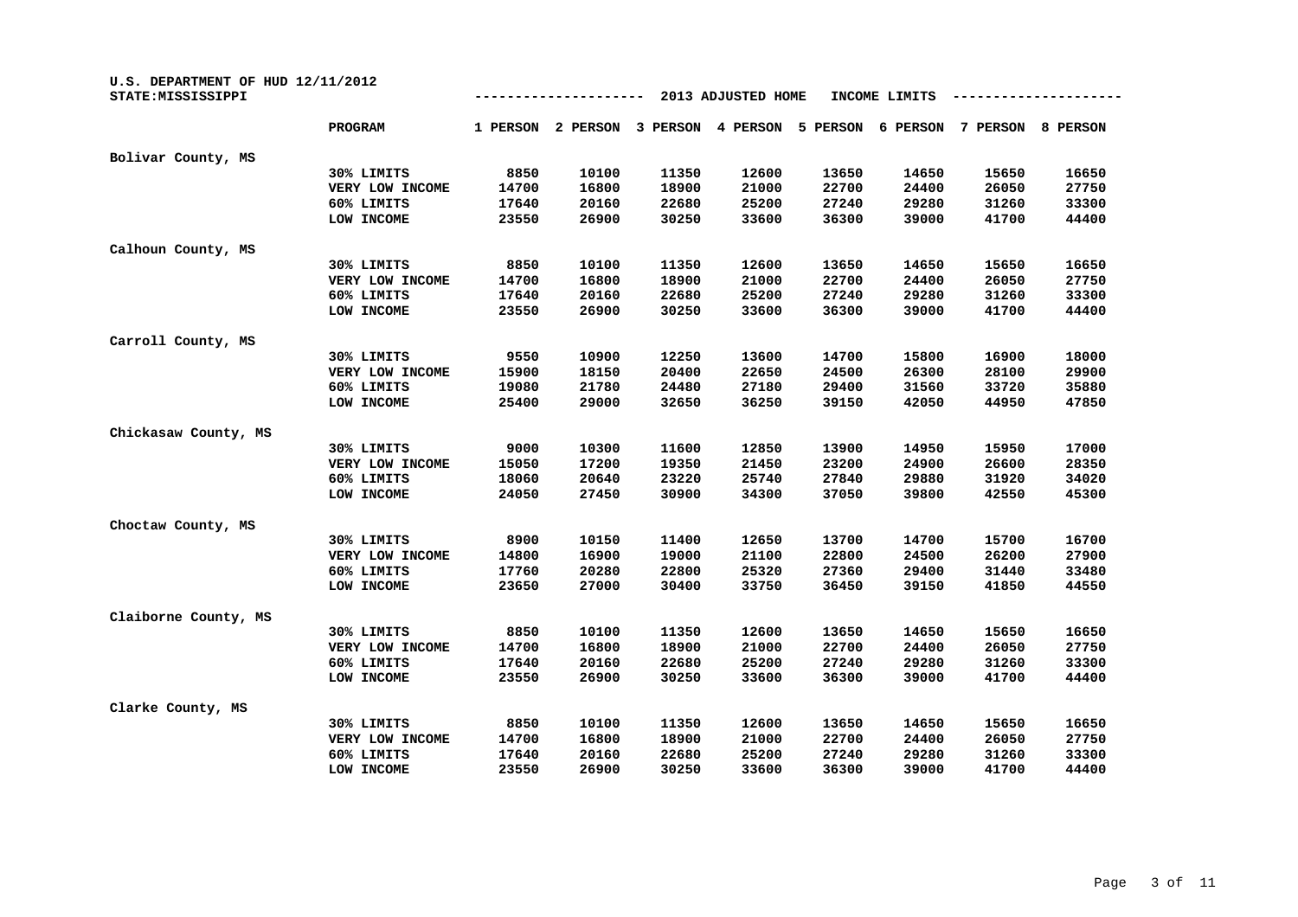| U.S. DEPARTMENT OF HUD 12/11/2012<br>STATE: MISSISSIPPI |                 | 2013 ADJUSTED HOME<br>INCOME LIMITS |          |          |          |          |          |          |          |  |
|---------------------------------------------------------|-----------------|-------------------------------------|----------|----------|----------|----------|----------|----------|----------|--|
|                                                         | <b>PROGRAM</b>  | 1 PERSON                            | 2 PERSON | 3 PERSON | 4 PERSON | 5 PERSON | 6 PERSON | 7 PERSON | 8 PERSON |  |
| Bolivar County, MS                                      |                 |                                     |          |          |          |          |          |          |          |  |
|                                                         | 30% LIMITS      | 8850                                | 10100    | 11350    | 12600    | 13650    | 14650    | 15650    | 16650    |  |
|                                                         | VERY LOW INCOME | 14700                               | 16800    | 18900    | 21000    | 22700    | 24400    | 26050    | 27750    |  |
|                                                         | 60% LIMITS      | 17640                               | 20160    | 22680    | 25200    | 27240    | 29280    | 31260    | 33300    |  |
|                                                         | LOW INCOME      | 23550                               | 26900    | 30250    | 33600    | 36300    | 39000    | 41700    | 44400    |  |
| Calhoun County, MS                                      |                 |                                     |          |          |          |          |          |          |          |  |
|                                                         | 30% LIMITS      | 8850                                | 10100    | 11350    | 12600    | 13650    | 14650    | 15650    | 16650    |  |
|                                                         | VERY LOW INCOME | 14700                               | 16800    | 18900    | 21000    | 22700    | 24400    | 26050    | 27750    |  |
|                                                         | 60% LIMITS      | 17640                               | 20160    | 22680    | 25200    | 27240    | 29280    | 31260    | 33300    |  |
|                                                         | LOW INCOME      | 23550                               | 26900    | 30250    | 33600    | 36300    | 39000    | 41700    | 44400    |  |
| Carroll County, MS                                      |                 |                                     |          |          |          |          |          |          |          |  |
|                                                         | 30% LIMITS      | 9550                                | 10900    | 12250    | 13600    | 14700    | 15800    | 16900    | 18000    |  |
|                                                         | VERY LOW INCOME | 15900                               | 18150    | 20400    | 22650    | 24500    | 26300    | 28100    | 29900    |  |
|                                                         | 60% LIMITS      | 19080                               | 21780    | 24480    | 27180    | 29400    | 31560    | 33720    | 35880    |  |
|                                                         | LOW INCOME      | 25400                               | 29000    | 32650    | 36250    | 39150    | 42050    | 44950    | 47850    |  |
| Chickasaw County, MS                                    |                 |                                     |          |          |          |          |          |          |          |  |
|                                                         | 30% LIMITS      | 9000                                | 10300    | 11600    | 12850    | 13900    | 14950    | 15950    | 17000    |  |
|                                                         | VERY LOW INCOME | 15050                               | 17200    | 19350    | 21450    | 23200    | 24900    | 26600    | 28350    |  |
|                                                         | 60% LIMITS      | 18060                               | 20640    | 23220    | 25740    | 27840    | 29880    | 31920    | 34020    |  |
|                                                         | LOW INCOME      | 24050                               | 27450    | 30900    | 34300    | 37050    | 39800    | 42550    | 45300    |  |
| Choctaw County, MS                                      |                 |                                     |          |          |          |          |          |          |          |  |
|                                                         | 30% LIMITS      | 8900                                | 10150    | 11400    | 12650    | 13700    | 14700    | 15700    | 16700    |  |
|                                                         | VERY LOW INCOME | 14800                               | 16900    | 19000    | 21100    | 22800    | 24500    | 26200    | 27900    |  |
|                                                         | 60% LIMITS      | 17760                               | 20280    | 22800    | 25320    | 27360    | 29400    | 31440    | 33480    |  |
|                                                         | LOW INCOME      | 23650                               | 27000    | 30400    | 33750    | 36450    | 39150    | 41850    | 44550    |  |
| Claiborne County, MS                                    |                 |                                     |          |          |          |          |          |          |          |  |
|                                                         | 30% LIMITS      | 8850                                | 10100    | 11350    | 12600    | 13650    | 14650    | 15650    | 16650    |  |
|                                                         | VERY LOW INCOME | 14700                               | 16800    | 18900    | 21000    | 22700    | 24400    | 26050    | 27750    |  |
|                                                         | 60% LIMITS      | 17640                               | 20160    | 22680    | 25200    | 27240    | 29280    | 31260    | 33300    |  |
|                                                         | LOW INCOME      | 23550                               | 26900    | 30250    | 33600    | 36300    | 39000    | 41700    | 44400    |  |
| Clarke County, MS                                       |                 |                                     |          |          |          |          |          |          |          |  |
|                                                         | 30% LIMITS      | 8850                                | 10100    | 11350    | 12600    | 13650    | 14650    | 15650    | 16650    |  |
|                                                         | VERY LOW INCOME | 14700                               | 16800    | 18900    | 21000    | 22700    | 24400    | 26050    | 27750    |  |
|                                                         | 60% LIMITS      | 17640                               | 20160    | 22680    | 25200    | 27240    | 29280    | 31260    | 33300    |  |
|                                                         | LOW INCOME      | 23550                               | 26900    | 30250    | 33600    | 36300    | 39000    | 41700    | 44400    |  |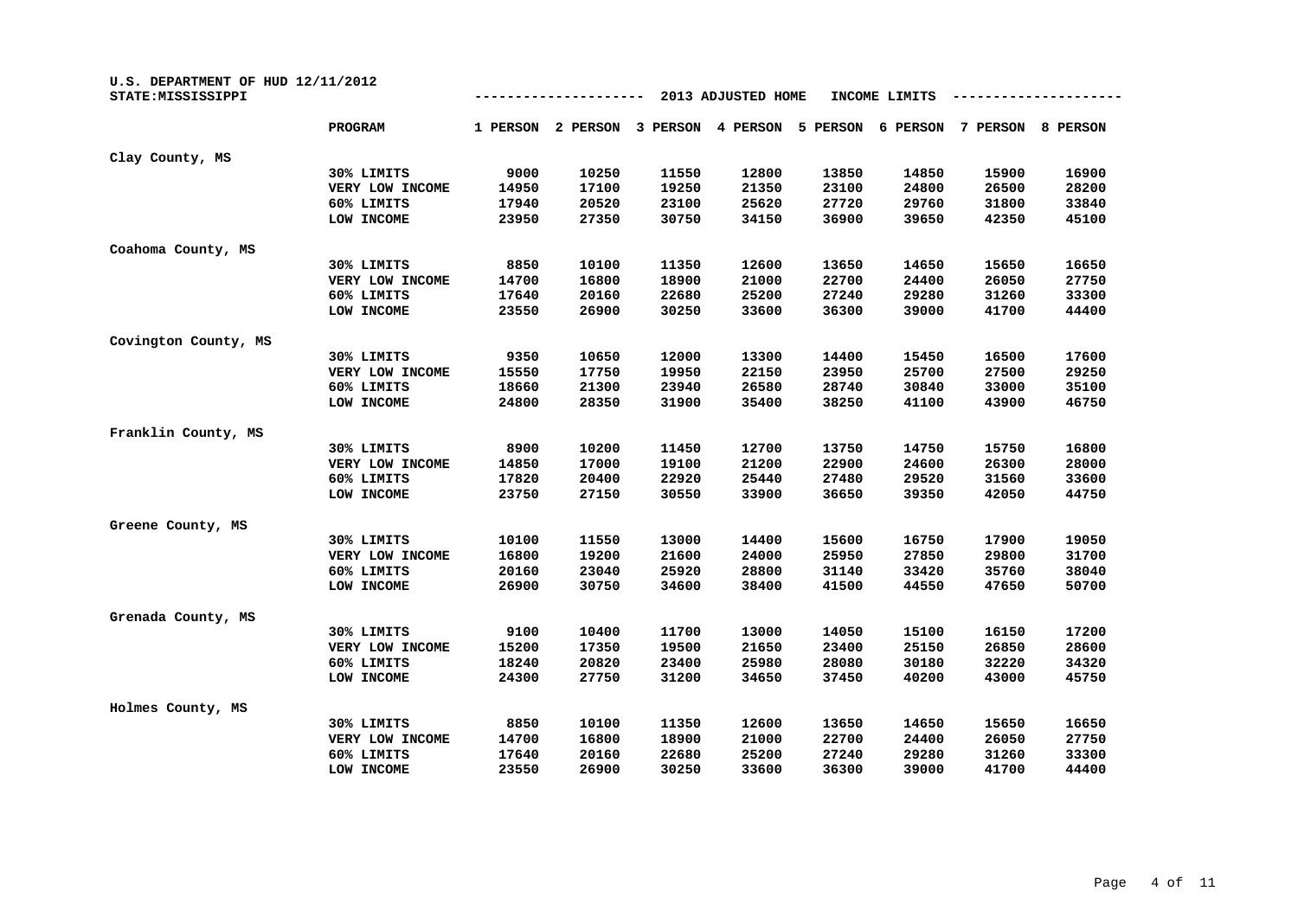| U.S. DEPARTMENT OF HUD 12/11/2012<br>STATE: MISSISSIPPI |                 | 2013 ADJUSTED HOME<br>INCOME LIMITS |          |          |          |          |          |          |          |
|---------------------------------------------------------|-----------------|-------------------------------------|----------|----------|----------|----------|----------|----------|----------|
|                                                         | PROGRAM         | 1 PERSON                            | 2 PERSON | 3 PERSON | 4 PERSON | 5 PERSON | 6 PERSON | 7 PERSON | 8 PERSON |
| Clay County, MS                                         |                 |                                     |          |          |          |          |          |          |          |
|                                                         | 30% LIMITS      | 9000                                | 10250    | 11550    | 12800    | 13850    | 14850    | 15900    | 16900    |
|                                                         | VERY LOW INCOME | 14950                               | 17100    | 19250    | 21350    | 23100    | 24800    | 26500    | 28200    |
|                                                         | 60% LIMITS      | 17940                               | 20520    | 23100    | 25620    | 27720    | 29760    | 31800    | 33840    |
|                                                         | LOW INCOME      | 23950                               | 27350    | 30750    | 34150    | 36900    | 39650    | 42350    | 45100    |
| Coahoma County, MS                                      |                 |                                     |          |          |          |          |          |          |          |
|                                                         | 30% LIMITS      | 8850                                | 10100    | 11350    | 12600    | 13650    | 14650    | 15650    | 16650    |
|                                                         | VERY LOW INCOME | 14700                               | 16800    | 18900    | 21000    | 22700    | 24400    | 26050    | 27750    |
|                                                         | 60% LIMITS      | 17640                               | 20160    | 22680    | 25200    | 27240    | 29280    | 31260    | 33300    |
|                                                         | LOW INCOME      | 23550                               | 26900    | 30250    | 33600    | 36300    | 39000    | 41700    | 44400    |
| Covington County, MS                                    |                 |                                     |          |          |          |          |          |          |          |
|                                                         | 30% LIMITS      | 9350                                | 10650    | 12000    | 13300    | 14400    | 15450    | 16500    | 17600    |
|                                                         | VERY LOW INCOME | 15550                               | 17750    | 19950    | 22150    | 23950    | 25700    | 27500    | 29250    |
|                                                         | 60% LIMITS      | 18660                               | 21300    | 23940    | 26580    | 28740    | 30840    | 33000    | 35100    |
|                                                         | LOW INCOME      | 24800                               | 28350    | 31900    | 35400    | 38250    | 41100    | 43900    | 46750    |
| Franklin County, MS                                     |                 |                                     |          |          |          |          |          |          |          |
|                                                         | 30% LIMITS      | 8900                                | 10200    | 11450    | 12700    | 13750    | 14750    | 15750    | 16800    |
|                                                         | VERY LOW INCOME | 14850                               | 17000    | 19100    | 21200    | 22900    | 24600    | 26300    | 28000    |
|                                                         | 60% LIMITS      | 17820                               | 20400    | 22920    | 25440    | 27480    | 29520    | 31560    | 33600    |
|                                                         | LOW INCOME      | 23750                               | 27150    | 30550    | 33900    | 36650    | 39350    | 42050    | 44750    |
| Greene County, MS                                       |                 |                                     |          |          |          |          |          |          |          |
|                                                         | 30% LIMITS      | 10100                               | 11550    | 13000    | 14400    | 15600    | 16750    | 17900    | 19050    |
|                                                         | VERY LOW INCOME | 16800                               | 19200    | 21600    | 24000    | 25950    | 27850    | 29800    | 31700    |
|                                                         | 60% LIMITS      | 20160                               | 23040    | 25920    | 28800    | 31140    | 33420    | 35760    | 38040    |
|                                                         | LOW INCOME      | 26900                               | 30750    | 34600    | 38400    | 41500    | 44550    | 47650    | 50700    |
| Grenada County, MS                                      |                 |                                     |          |          |          |          |          |          |          |
|                                                         | 30% LIMITS      | 9100                                | 10400    | 11700    | 13000    | 14050    | 15100    | 16150    | 17200    |
|                                                         | VERY LOW INCOME | 15200                               | 17350    | 19500    | 21650    | 23400    | 25150    | 26850    | 28600    |
|                                                         | 60% LIMITS      | 18240                               | 20820    | 23400    | 25980    | 28080    | 30180    | 32220    | 34320    |
|                                                         | LOW INCOME      | 24300                               | 27750    | 31200    | 34650    | 37450    | 40200    | 43000    | 45750    |
| Holmes County, MS                                       |                 |                                     |          |          |          |          |          |          |          |
|                                                         | 30% LIMITS      | 8850                                | 10100    | 11350    | 12600    | 13650    | 14650    | 15650    | 16650    |
|                                                         | VERY LOW INCOME | 14700                               | 16800    | 18900    | 21000    | 22700    | 24400    | 26050    | 27750    |
|                                                         | 60% LIMITS      | 17640                               | 20160    | 22680    | 25200    | 27240    | 29280    | 31260    | 33300    |
|                                                         | LOW INCOME      | 23550                               | 26900    | 30250    | 33600    | 36300    | 39000    | 41700    | 44400    |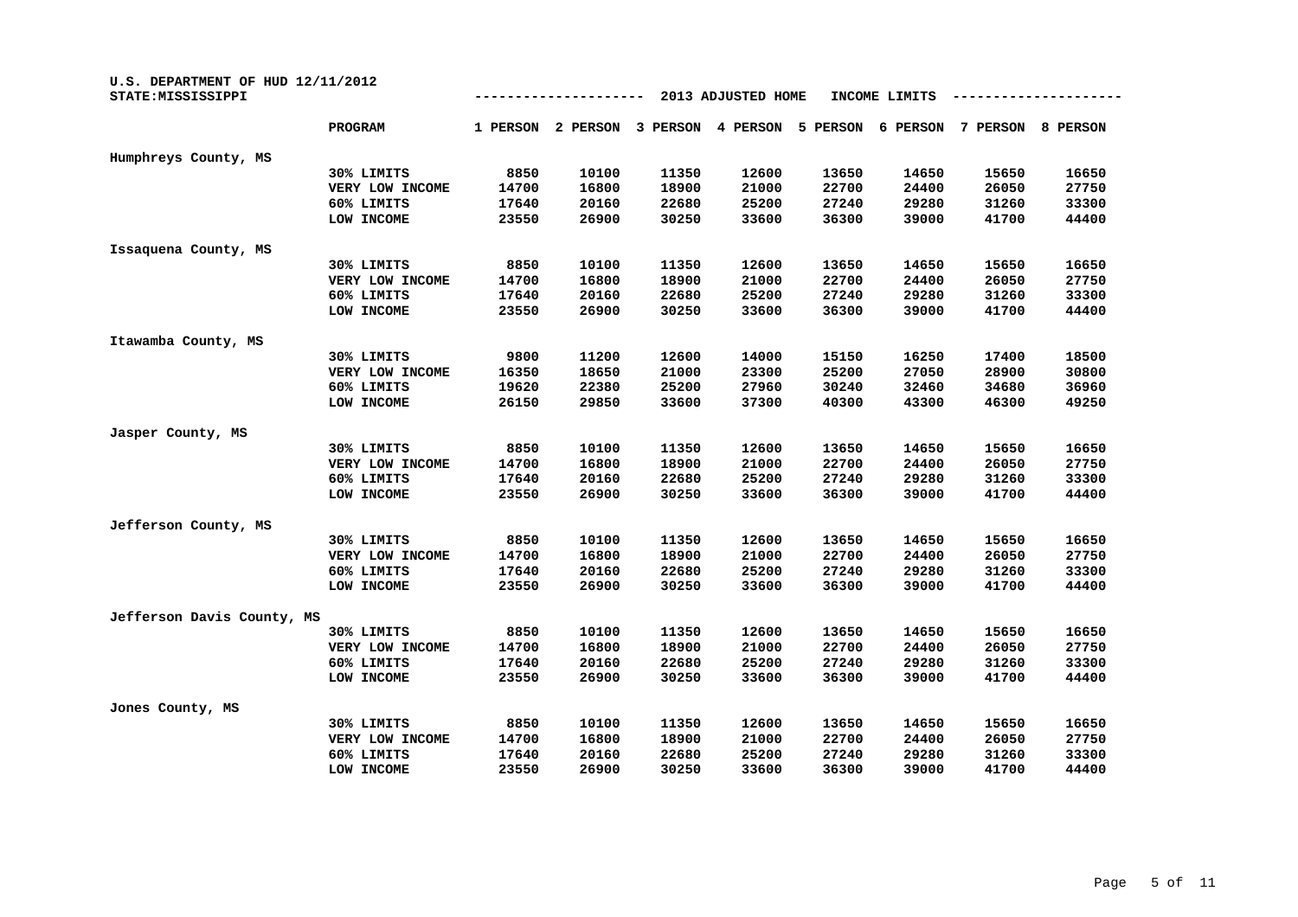| U.S. DEPARTMENT OF HUD 12/11/2012<br>STATE: MISSISSIPPI |                 |          |          |          | 2013 ADJUSTED HOME |          | INCOME LIMITS |          |          |
|---------------------------------------------------------|-----------------|----------|----------|----------|--------------------|----------|---------------|----------|----------|
|                                                         | <b>PROGRAM</b>  | 1 PERSON | 2 PERSON | 3 PERSON | 4 PERSON           | 5 PERSON | 6 PERSON      | 7 PERSON | 8 PERSON |
| Humphreys County, MS                                    |                 |          |          |          |                    |          |               |          |          |
|                                                         | 30% LIMITS      | 8850     | 10100    | 11350    | 12600              | 13650    | 14650         | 15650    | 16650    |
|                                                         | VERY LOW INCOME | 14700    | 16800    | 18900    | 21000              | 22700    | 24400         | 26050    | 27750    |
|                                                         | 60% LIMITS      | 17640    | 20160    | 22680    | 25200              | 27240    | 29280         | 31260    | 33300    |
|                                                         | LOW INCOME      | 23550    | 26900    | 30250    | 33600              | 36300    | 39000         | 41700    | 44400    |
| Issaquena County, MS                                    |                 |          |          |          |                    |          |               |          |          |
|                                                         | 30% LIMITS      | 8850     | 10100    | 11350    | 12600              | 13650    | 14650         | 15650    | 16650    |
|                                                         | VERY LOW INCOME | 14700    | 16800    | 18900    | 21000              | 22700    | 24400         | 26050    | 27750    |
|                                                         | 60% LIMITS      | 17640    | 20160    | 22680    | 25200              | 27240    | 29280         | 31260    | 33300    |
|                                                         | LOW INCOME      | 23550    | 26900    | 30250    | 33600              | 36300    | 39000         | 41700    | 44400    |
| Itawamba County, MS                                     |                 |          |          |          |                    |          |               |          |          |
|                                                         | 30% LIMITS      | 9800     | 11200    | 12600    | 14000              | 15150    | 16250         | 17400    | 18500    |
|                                                         | VERY LOW INCOME | 16350    | 18650    | 21000    | 23300              | 25200    | 27050         | 28900    | 30800    |
|                                                         | 60% LIMITS      | 19620    | 22380    | 25200    | 27960              | 30240    | 32460         | 34680    | 36960    |
|                                                         | LOW INCOME      | 26150    | 29850    | 33600    | 37300              | 40300    | 43300         | 46300    | 49250    |
| Jasper County, MS                                       |                 |          |          |          |                    |          |               |          |          |
|                                                         | 30% LIMITS      | 8850     | 10100    | 11350    | 12600              | 13650    | 14650         | 15650    | 16650    |
|                                                         | VERY LOW INCOME | 14700    | 16800    | 18900    | 21000              | 22700    | 24400         | 26050    | 27750    |
|                                                         | 60% LIMITS      | 17640    | 20160    | 22680    | 25200              | 27240    | 29280         | 31260    | 33300    |
|                                                         | LOW INCOME      | 23550    | 26900    | 30250    | 33600              | 36300    | 39000         | 41700    | 44400    |
| Jefferson County, MS                                    |                 |          |          |          |                    |          |               |          |          |
|                                                         | 30% LIMITS      | 8850     | 10100    | 11350    | 12600              | 13650    | 14650         | 15650    | 16650    |
|                                                         | VERY LOW INCOME | 14700    | 16800    | 18900    | 21000              | 22700    | 24400         | 26050    | 27750    |
|                                                         | 60% LIMITS      | 17640    | 20160    | 22680    | 25200              | 27240    | 29280         | 31260    | 33300    |
|                                                         | LOW INCOME      | 23550    | 26900    | 30250    | 33600              | 36300    | 39000         | 41700    | 44400    |
| Jefferson Davis County, MS                              |                 |          |          |          |                    |          |               |          |          |
|                                                         | 30% LIMITS      | 8850     | 10100    | 11350    | 12600              | 13650    | 14650         | 15650    | 16650    |
|                                                         | VERY LOW INCOME | 14700    | 16800    | 18900    | 21000              | 22700    | 24400         | 26050    | 27750    |
|                                                         | 60% LIMITS      | 17640    | 20160    | 22680    | 25200              | 27240    | 29280         | 31260    | 33300    |
|                                                         | LOW INCOME      | 23550    | 26900    | 30250    | 33600              | 36300    | 39000         | 41700    | 44400    |
| Jones County, MS                                        |                 |          |          |          |                    |          |               |          |          |
|                                                         | 30% LIMITS      | 8850     | 10100    | 11350    | 12600              | 13650    | 14650         | 15650    | 16650    |
|                                                         | VERY LOW INCOME | 14700    | 16800    | 18900    | 21000              | 22700    | 24400         | 26050    | 27750    |
|                                                         | 60% LIMITS      | 17640    | 20160    | 22680    | 25200              | 27240    | 29280         | 31260    | 33300    |
|                                                         | LOW INCOME      | 23550    | 26900    | 30250    | 33600              | 36300    | 39000         | 41700    | 44400    |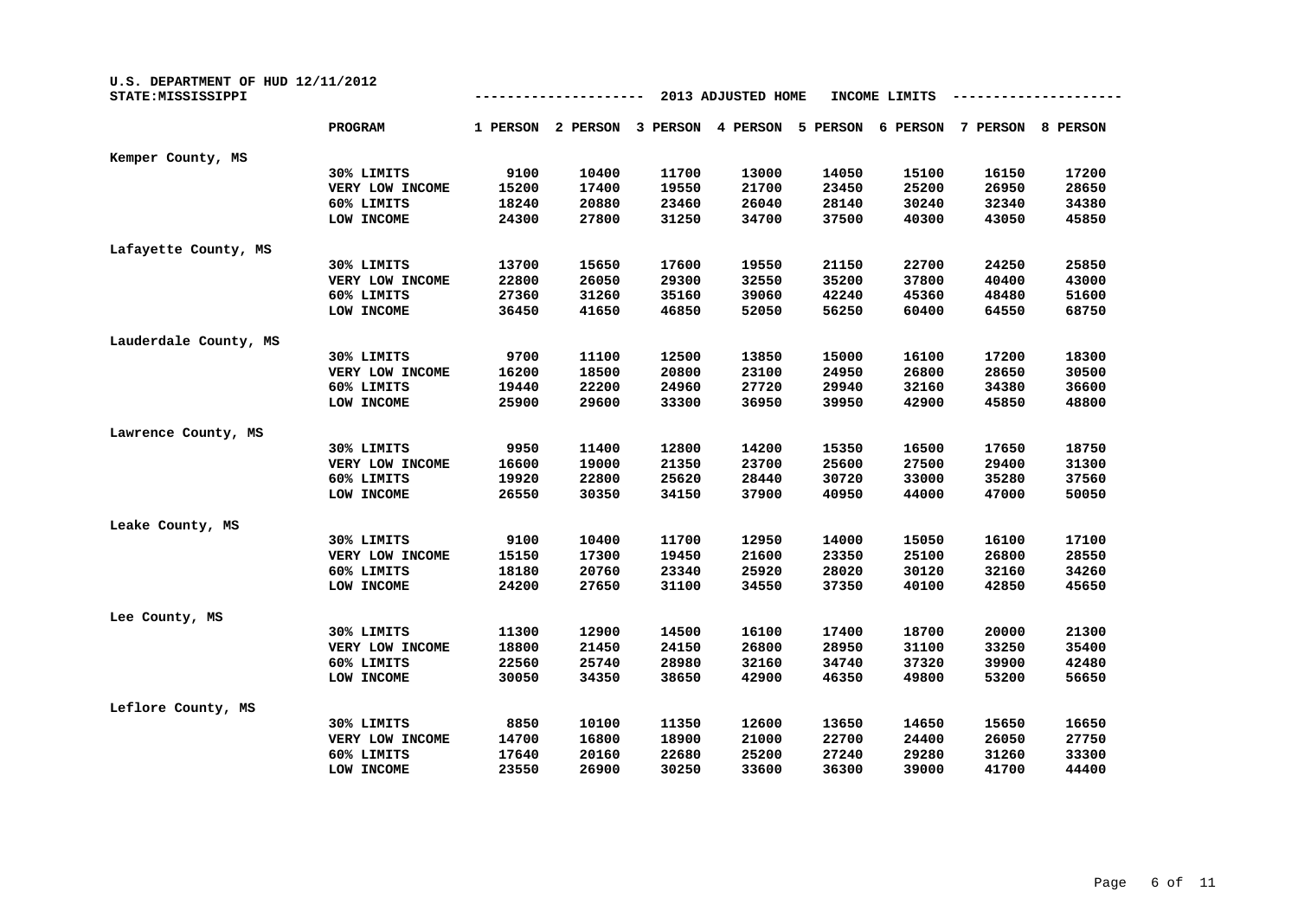| U.S. DEPARTMENT OF HUD 12/11/2012<br>STATE: MISSISSIPPI | 2013 ADJUSTED HOME<br>INCOME LIMITS |          |          |          |          |          |          |          |          |
|---------------------------------------------------------|-------------------------------------|----------|----------|----------|----------|----------|----------|----------|----------|
|                                                         | <b>PROGRAM</b>                      | 1 PERSON | 2 PERSON | 3 PERSON | 4 PERSON | 5 PERSON | 6 PERSON | 7 PERSON | 8 PERSON |
| Kemper County, MS                                       |                                     |          |          |          |          |          |          |          |          |
|                                                         | 30% LIMITS                          | 9100     | 10400    | 11700    | 13000    | 14050    | 15100    | 16150    | 17200    |
|                                                         | VERY LOW INCOME                     | 15200    | 17400    | 19550    | 21700    | 23450    | 25200    | 26950    | 28650    |
|                                                         | 60% LIMITS                          | 18240    | 20880    | 23460    | 26040    | 28140    | 30240    | 32340    | 34380    |
|                                                         | LOW INCOME                          | 24300    | 27800    | 31250    | 34700    | 37500    | 40300    | 43050    | 45850    |
| Lafayette County, MS                                    |                                     |          |          |          |          |          |          |          |          |
|                                                         | 30% LIMITS                          | 13700    | 15650    | 17600    | 19550    | 21150    | 22700    | 24250    | 25850    |
|                                                         | VERY LOW INCOME                     | 22800    | 26050    | 29300    | 32550    | 35200    | 37800    | 40400    | 43000    |
|                                                         | 60% LIMITS                          | 27360    | 31260    | 35160    | 39060    | 42240    | 45360    | 48480    | 51600    |
|                                                         | LOW INCOME                          | 36450    | 41650    | 46850    | 52050    | 56250    | 60400    | 64550    | 68750    |
| Lauderdale County, MS                                   |                                     |          |          |          |          |          |          |          |          |
|                                                         | 30% LIMITS                          | 9700     | 11100    | 12500    | 13850    | 15000    | 16100    | 17200    | 18300    |
|                                                         | VERY LOW INCOME                     | 16200    | 18500    | 20800    | 23100    | 24950    | 26800    | 28650    | 30500    |
|                                                         | 60% LIMITS                          | 19440    | 22200    | 24960    | 27720    | 29940    | 32160    | 34380    | 36600    |
|                                                         | LOW INCOME                          | 25900    | 29600    | 33300    | 36950    | 39950    | 42900    | 45850    | 48800    |
| Lawrence County, MS                                     |                                     |          |          |          |          |          |          |          |          |
|                                                         | 30% LIMITS                          | 9950     | 11400    | 12800    | 14200    | 15350    | 16500    | 17650    | 18750    |
|                                                         | VERY LOW INCOME                     | 16600    | 19000    | 21350    | 23700    | 25600    | 27500    | 29400    | 31300    |
|                                                         | 60% LIMITS                          | 19920    | 22800    | 25620    | 28440    | 30720    | 33000    | 35280    | 37560    |
|                                                         | LOW INCOME                          | 26550    | 30350    | 34150    | 37900    | 40950    | 44000    | 47000    | 50050    |
| Leake County, MS                                        |                                     |          |          |          |          |          |          |          |          |
|                                                         | 30% LIMITS                          | 9100     | 10400    | 11700    | 12950    | 14000    | 15050    | 16100    | 17100    |
|                                                         | VERY LOW INCOME                     | 15150    | 17300    | 19450    | 21600    | 23350    | 25100    | 26800    | 28550    |
|                                                         | 60% LIMITS                          | 18180    | 20760    | 23340    | 25920    | 28020    | 30120    | 32160    | 34260    |
|                                                         | LOW INCOME                          | 24200    | 27650    | 31100    | 34550    | 37350    | 40100    | 42850    | 45650    |
| Lee County, MS                                          |                                     |          |          |          |          |          |          |          |          |
|                                                         | 30% LIMITS                          | 11300    | 12900    | 14500    | 16100    | 17400    | 18700    | 20000    | 21300    |
|                                                         | VERY LOW INCOME                     | 18800    | 21450    | 24150    | 26800    | 28950    | 31100    | 33250    | 35400    |
|                                                         | 60% LIMITS                          | 22560    | 25740    | 28980    | 32160    | 34740    | 37320    | 39900    | 42480    |
|                                                         | LOW INCOME                          | 30050    | 34350    | 38650    | 42900    | 46350    | 49800    | 53200    | 56650    |
| Leflore County, MS                                      |                                     |          |          |          |          |          |          |          |          |
|                                                         | 30% LIMITS                          | 8850     | 10100    | 11350    | 12600    | 13650    | 14650    | 15650    | 16650    |
|                                                         | VERY LOW INCOME                     | 14700    | 16800    | 18900    | 21000    | 22700    | 24400    | 26050    | 27750    |
|                                                         | 60% LIMITS                          | 17640    | 20160    | 22680    | 25200    | 27240    | 29280    | 31260    | 33300    |
|                                                         | LOW INCOME                          | 23550    | 26900    | 30250    | 33600    | 36300    | 39000    | 41700    | 44400    |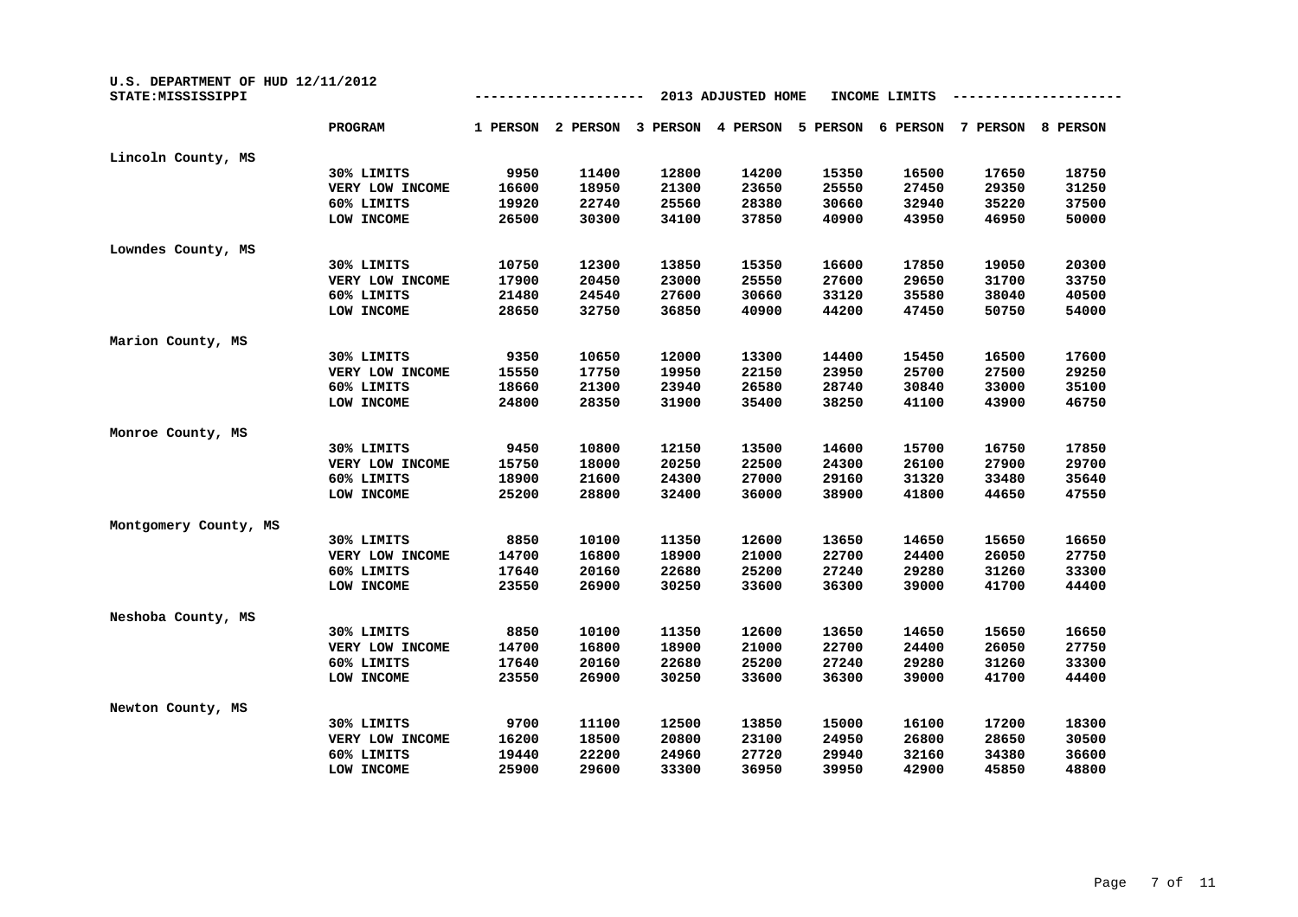| U.S. DEPARTMENT OF HUD 12/11/2012<br>STATE: MISSISSIPPI |                 | 2013 ADJUSTED HOME<br>INCOME LIMITS |          |          |          |          |          |          |                 |  |
|---------------------------------------------------------|-----------------|-------------------------------------|----------|----------|----------|----------|----------|----------|-----------------|--|
|                                                         | PROGRAM         | 1 PERSON                            | 2 PERSON | 3 PERSON | 4 PERSON | 5 PERSON | 6 PERSON | 7 PERSON | <b>8 PERSON</b> |  |
| Lincoln County, MS                                      |                 |                                     |          |          |          |          |          |          |                 |  |
|                                                         | 30% LIMITS      | 9950                                | 11400    | 12800    | 14200    | 15350    | 16500    | 17650    | 18750           |  |
|                                                         | VERY LOW INCOME | 16600                               | 18950    | 21300    | 23650    | 25550    | 27450    | 29350    | 31250           |  |
|                                                         | 60% LIMITS      | 19920                               | 22740    | 25560    | 28380    | 30660    | 32940    | 35220    | 37500           |  |
|                                                         | LOW INCOME      | 26500                               | 30300    | 34100    | 37850    | 40900    | 43950    | 46950    | 50000           |  |
| Lowndes County, MS                                      |                 |                                     |          |          |          |          |          |          |                 |  |
|                                                         | 30% LIMITS      | 10750                               | 12300    | 13850    | 15350    | 16600    | 17850    | 19050    | 20300           |  |
|                                                         | VERY LOW INCOME | 17900                               | 20450    | 23000    | 25550    | 27600    | 29650    | 31700    | 33750           |  |
|                                                         | 60% LIMITS      | 21480                               | 24540    | 27600    | 30660    | 33120    | 35580    | 38040    | 40500           |  |
|                                                         | LOW INCOME      | 28650                               | 32750    | 36850    | 40900    | 44200    | 47450    | 50750    | 54000           |  |
| Marion County, MS                                       |                 |                                     |          |          |          |          |          |          |                 |  |
|                                                         | 30% LIMITS      | 9350                                | 10650    | 12000    | 13300    | 14400    | 15450    | 16500    | 17600           |  |
|                                                         | VERY LOW INCOME | 15550                               | 17750    | 19950    | 22150    | 23950    | 25700    | 27500    | 29250           |  |
|                                                         | 60% LIMITS      | 18660                               | 21300    | 23940    | 26580    | 28740    | 30840    | 33000    | 35100           |  |
|                                                         | LOW INCOME      | 24800                               | 28350    | 31900    | 35400    | 38250    | 41100    | 43900    | 46750           |  |
| Monroe County, MS                                       |                 |                                     |          |          |          |          |          |          |                 |  |
|                                                         | 30% LIMITS      | 9450                                | 10800    | 12150    | 13500    | 14600    | 15700    | 16750    | 17850           |  |
|                                                         | VERY LOW INCOME | 15750                               | 18000    | 20250    | 22500    | 24300    | 26100    | 27900    | 29700           |  |
|                                                         | 60% LIMITS      | 18900                               | 21600    | 24300    | 27000    | 29160    | 31320    | 33480    | 35640           |  |
|                                                         | LOW INCOME      | 25200                               | 28800    | 32400    | 36000    | 38900    | 41800    | 44650    | 47550           |  |
| Montgomery County, MS                                   |                 |                                     |          |          |          |          |          |          |                 |  |
|                                                         | 30% LIMITS      | 8850                                | 10100    | 11350    | 12600    | 13650    | 14650    | 15650    | 16650           |  |
|                                                         | VERY LOW INCOME | 14700                               | 16800    | 18900    | 21000    | 22700    | 24400    | 26050    | 27750           |  |
|                                                         | 60% LIMITS      | 17640                               | 20160    | 22680    | 25200    | 27240    | 29280    | 31260    | 33300           |  |
|                                                         | LOW INCOME      | 23550                               | 26900    | 30250    | 33600    | 36300    | 39000    | 41700    | 44400           |  |
| Neshoba County, MS                                      |                 |                                     |          |          |          |          |          |          |                 |  |
|                                                         | 30% LIMITS      | 8850                                | 10100    | 11350    | 12600    | 13650    | 14650    | 15650    | 16650           |  |
|                                                         | VERY LOW INCOME | 14700                               | 16800    | 18900    | 21000    | 22700    | 24400    | 26050    | 27750           |  |
|                                                         | 60% LIMITS      | 17640                               | 20160    | 22680    | 25200    | 27240    | 29280    | 31260    | 33300           |  |
|                                                         | LOW INCOME      | 23550                               | 26900    | 30250    | 33600    | 36300    | 39000    | 41700    | 44400           |  |
| Newton County, MS                                       |                 |                                     |          |          |          |          |          |          |                 |  |
|                                                         | 30% LIMITS      | 9700                                | 11100    | 12500    | 13850    | 15000    | 16100    | 17200    | 18300           |  |
|                                                         | VERY LOW INCOME | 16200                               | 18500    | 20800    | 23100    | 24950    | 26800    | 28650    | 30500           |  |
|                                                         | 60% LIMITS      | 19440                               | 22200    | 24960    | 27720    | 29940    | 32160    | 34380    | 36600           |  |
|                                                         | LOW INCOME      | 25900                               | 29600    | 33300    | 36950    | 39950    | 42900    | 45850    | 48800           |  |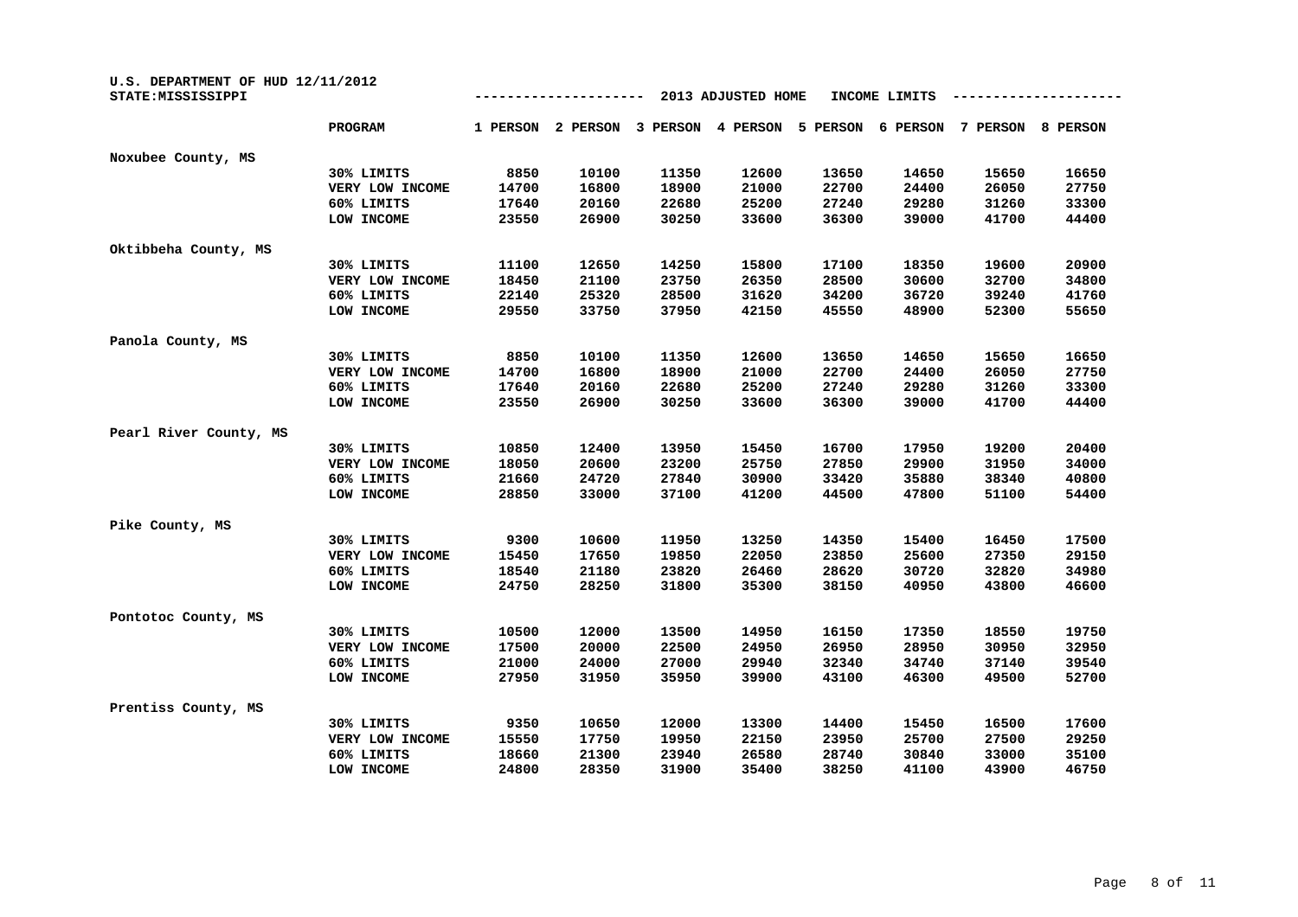| U.S. DEPARTMENT OF HUD 12/11/2012<br>STATE: MISSISSIPPI |                 |          |          |          |          |          |          |          |          |
|---------------------------------------------------------|-----------------|----------|----------|----------|----------|----------|----------|----------|----------|
|                                                         | PROGRAM         | 1 PERSON | 2 PERSON | 3 PERSON | 4 PERSON | 5 PERSON | 6 PERSON | 7 PERSON | 8 PERSON |
| Noxubee County, MS                                      |                 |          |          |          |          |          |          |          |          |
|                                                         | 30% LIMITS      | 8850     | 10100    | 11350    | 12600    | 13650    | 14650    | 15650    | 16650    |
|                                                         | VERY LOW INCOME | 14700    | 16800    | 18900    | 21000    | 22700    | 24400    | 26050    | 27750    |
|                                                         | 60% LIMITS      | 17640    | 20160    | 22680    | 25200    | 27240    | 29280    | 31260    | 33300    |
|                                                         | LOW INCOME      | 23550    | 26900    | 30250    | 33600    | 36300    | 39000    | 41700    | 44400    |
| Oktibbeha County, MS                                    |                 |          |          |          |          |          |          |          |          |
|                                                         | 30% LIMITS      | 11100    | 12650    | 14250    | 15800    | 17100    | 18350    | 19600    | 20900    |
|                                                         | VERY LOW INCOME | 18450    | 21100    | 23750    | 26350    | 28500    | 30600    | 32700    | 34800    |
|                                                         | 60% LIMITS      | 22140    | 25320    | 28500    | 31620    | 34200    | 36720    | 39240    | 41760    |
|                                                         | LOW INCOME      | 29550    | 33750    | 37950    | 42150    | 45550    | 48900    | 52300    | 55650    |
| Panola County, MS                                       |                 |          |          |          |          |          |          |          |          |
|                                                         | 30% LIMITS      | 8850     | 10100    | 11350    | 12600    | 13650    | 14650    | 15650    | 16650    |
|                                                         | VERY LOW INCOME | 14700    | 16800    | 18900    | 21000    | 22700    | 24400    | 26050    | 27750    |
|                                                         | 60% LIMITS      | 17640    | 20160    | 22680    | 25200    | 27240    | 29280    | 31260    | 33300    |
|                                                         | LOW INCOME      | 23550    | 26900    | 30250    | 33600    | 36300    | 39000    | 41700    | 44400    |
| Pearl River County, MS                                  |                 |          |          |          |          |          |          |          |          |
|                                                         | 30% LIMITS      | 10850    | 12400    | 13950    | 15450    | 16700    | 17950    | 19200    | 20400    |
|                                                         | VERY LOW INCOME | 18050    | 20600    | 23200    | 25750    | 27850    | 29900    | 31950    | 34000    |
|                                                         | 60% LIMITS      | 21660    | 24720    | 27840    | 30900    | 33420    | 35880    | 38340    | 40800    |
|                                                         | LOW INCOME      | 28850    | 33000    | 37100    | 41200    | 44500    | 47800    | 51100    | 54400    |
| Pike County, MS                                         |                 |          |          |          |          |          |          |          |          |
|                                                         | 30% LIMITS      | 9300     | 10600    | 11950    | 13250    | 14350    | 15400    | 16450    | 17500    |
|                                                         | VERY LOW INCOME | 15450    | 17650    | 19850    | 22050    | 23850    | 25600    | 27350    | 29150    |
|                                                         | 60% LIMITS      | 18540    | 21180    | 23820    | 26460    | 28620    | 30720    | 32820    | 34980    |
|                                                         | LOW INCOME      | 24750    | 28250    | 31800    | 35300    | 38150    | 40950    | 43800    | 46600    |
| Pontotoc County, MS                                     |                 |          |          |          |          |          |          |          |          |
|                                                         | 30% LIMITS      | 10500    | 12000    | 13500    | 14950    | 16150    | 17350    | 18550    | 19750    |
|                                                         | VERY LOW INCOME | 17500    | 20000    | 22500    | 24950    | 26950    | 28950    | 30950    | 32950    |
|                                                         | 60% LIMITS      | 21000    | 24000    | 27000    | 29940    | 32340    | 34740    | 37140    | 39540    |
|                                                         | LOW INCOME      | 27950    | 31950    | 35950    | 39900    | 43100    | 46300    | 49500    | 52700    |
| Prentiss County, MS                                     |                 |          |          |          |          |          |          |          |          |
|                                                         | 30% LIMITS      | 9350     | 10650    | 12000    | 13300    | 14400    | 15450    | 16500    | 17600    |
|                                                         | VERY LOW INCOME | 15550    | 17750    | 19950    | 22150    | 23950    | 25700    | 27500    | 29250    |
|                                                         | 60% LIMITS      | 18660    | 21300    | 23940    | 26580    | 28740    | 30840    | 33000    | 35100    |
|                                                         | LOW INCOME      | 24800    | 28350    | 31900    | 35400    | 38250    | 41100    | 43900    | 46750    |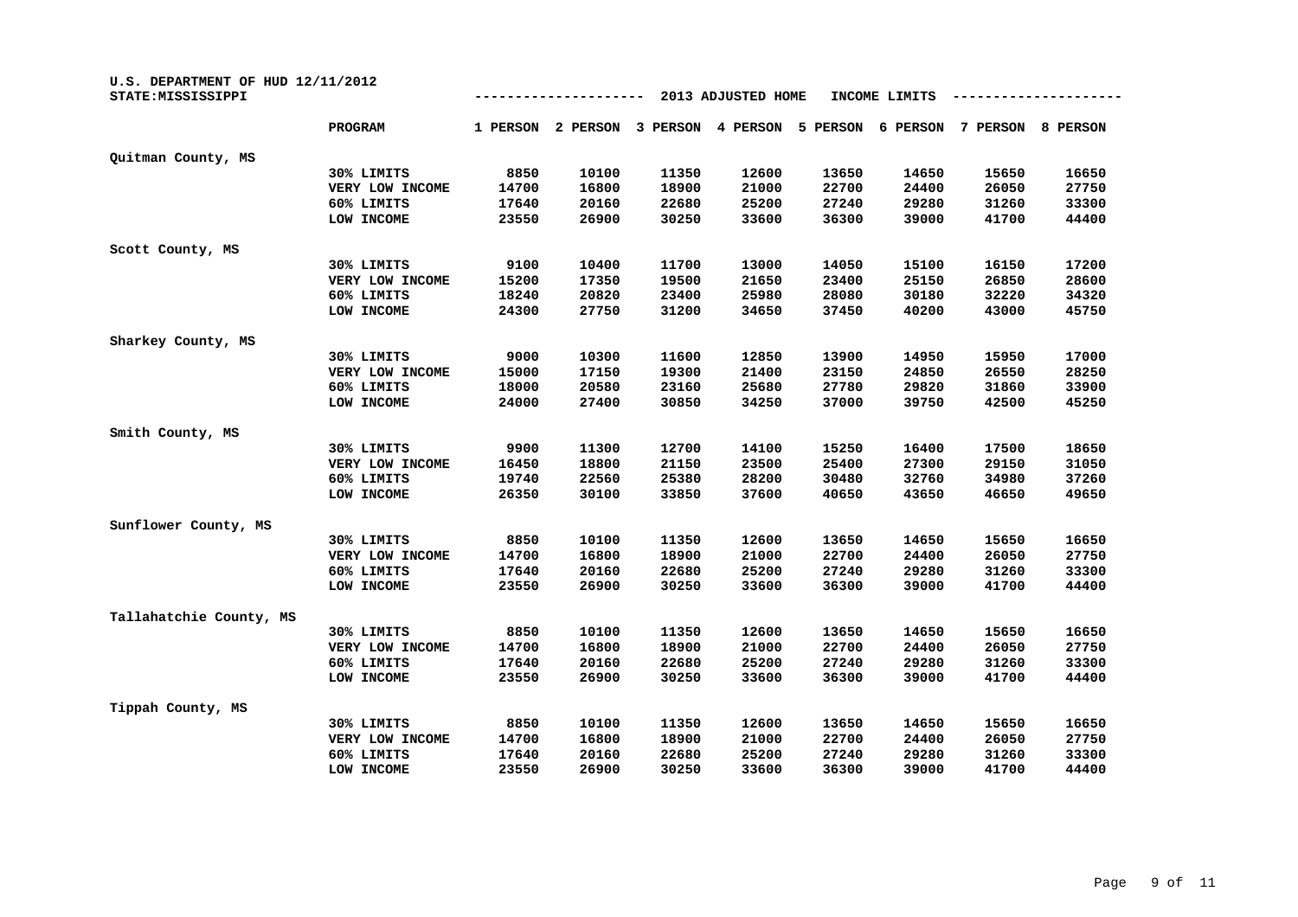| U.S. DEPARTMENT OF HUD 12/11/2012<br>STATE: MISSISSIPPI |                 |          |          |          | 2013 ADJUSTED HOME |          | INCOME LIMITS |          |          |
|---------------------------------------------------------|-----------------|----------|----------|----------|--------------------|----------|---------------|----------|----------|
|                                                         | <b>PROGRAM</b>  | 1 PERSON | 2 PERSON | 3 PERSON | 4 PERSON           | 5 PERSON | 6 PERSON      | 7 PERSON | 8 PERSON |
| Quitman County, MS                                      |                 |          |          |          |                    |          |               |          |          |
|                                                         | 30% LIMITS      | 8850     | 10100    | 11350    | 12600              | 13650    | 14650         | 15650    | 16650    |
|                                                         | VERY LOW INCOME | 14700    | 16800    | 18900    | 21000              | 22700    | 24400         | 26050    | 27750    |
|                                                         | 60% LIMITS      | 17640    | 20160    | 22680    | 25200              | 27240    | 29280         | 31260    | 33300    |
|                                                         | LOW INCOME      | 23550    | 26900    | 30250    | 33600              | 36300    | 39000         | 41700    | 44400    |
| Scott County, MS                                        |                 |          |          |          |                    |          |               |          |          |
|                                                         | 30% LIMITS      | 9100     | 10400    | 11700    | 13000              | 14050    | 15100         | 16150    | 17200    |
|                                                         | VERY LOW INCOME | 15200    | 17350    | 19500    | 21650              | 23400    | 25150         | 26850    | 28600    |
|                                                         | 60% LIMITS      | 18240    | 20820    | 23400    | 25980              | 28080    | 30180         | 32220    | 34320    |
|                                                         | LOW INCOME      | 24300    | 27750    | 31200    | 34650              | 37450    | 40200         | 43000    | 45750    |
| Sharkey County, MS                                      |                 |          |          |          |                    |          |               |          |          |
|                                                         | 30% LIMITS      | 9000     | 10300    | 11600    | 12850              | 13900    | 14950         | 15950    | 17000    |
|                                                         | VERY LOW INCOME | 15000    | 17150    | 19300    | 21400              | 23150    | 24850         | 26550    | 28250    |
|                                                         | 60% LIMITS      | 18000    | 20580    | 23160    | 25680              | 27780    | 29820         | 31860    | 33900    |
|                                                         | LOW INCOME      | 24000    | 27400    | 30850    | 34250              | 37000    | 39750         | 42500    | 45250    |
| Smith County, MS                                        |                 |          |          |          |                    |          |               |          |          |
|                                                         | 30% LIMITS      | 9900     | 11300    | 12700    | 14100              | 15250    | 16400         | 17500    | 18650    |
|                                                         | VERY LOW INCOME | 16450    | 18800    | 21150    | 23500              | 25400    | 27300         | 29150    | 31050    |
|                                                         | 60% LIMITS      | 19740    | 22560    | 25380    | 28200              | 30480    | 32760         | 34980    | 37260    |
|                                                         | LOW INCOME      | 26350    | 30100    | 33850    | 37600              | 40650    | 43650         | 46650    | 49650    |
| Sunflower County, MS                                    |                 |          |          |          |                    |          |               |          |          |
|                                                         | 30% LIMITS      | 8850     | 10100    | 11350    | 12600              | 13650    | 14650         | 15650    | 16650    |
|                                                         | VERY LOW INCOME | 14700    | 16800    | 18900    | 21000              | 22700    | 24400         | 26050    | 27750    |
|                                                         | 60% LIMITS      | 17640    | 20160    | 22680    | 25200              | 27240    | 29280         | 31260    | 33300    |
|                                                         | LOW INCOME      | 23550    | 26900    | 30250    | 33600              | 36300    | 39000         | 41700    | 44400    |
| Tallahatchie County, MS                                 |                 |          |          |          |                    |          |               |          |          |
|                                                         | 30% LIMITS      | 8850     | 10100    | 11350    | 12600              | 13650    | 14650         | 15650    | 16650    |
|                                                         | VERY LOW INCOME | 14700    | 16800    | 18900    | 21000              | 22700    | 24400         | 26050    | 27750    |
|                                                         | 60% LIMITS      | 17640    | 20160    | 22680    | 25200              | 27240    | 29280         | 31260    | 33300    |
|                                                         | LOW INCOME      | 23550    | 26900    | 30250    | 33600              | 36300    | 39000         | 41700    | 44400    |
| Tippah County, MS                                       |                 |          |          |          |                    |          |               |          |          |
|                                                         | 30% LIMITS      | 8850     | 10100    | 11350    | 12600              | 13650    | 14650         | 15650    | 16650    |
|                                                         | VERY LOW INCOME | 14700    | 16800    | 18900    | 21000              | 22700    | 24400         | 26050    | 27750    |
|                                                         | 60% LIMITS      | 17640    | 20160    | 22680    | 25200              | 27240    | 29280         | 31260    | 33300    |
|                                                         | LOW INCOME      | 23550    | 26900    | 30250    | 33600              | 36300    | 39000         | 41700    | 44400    |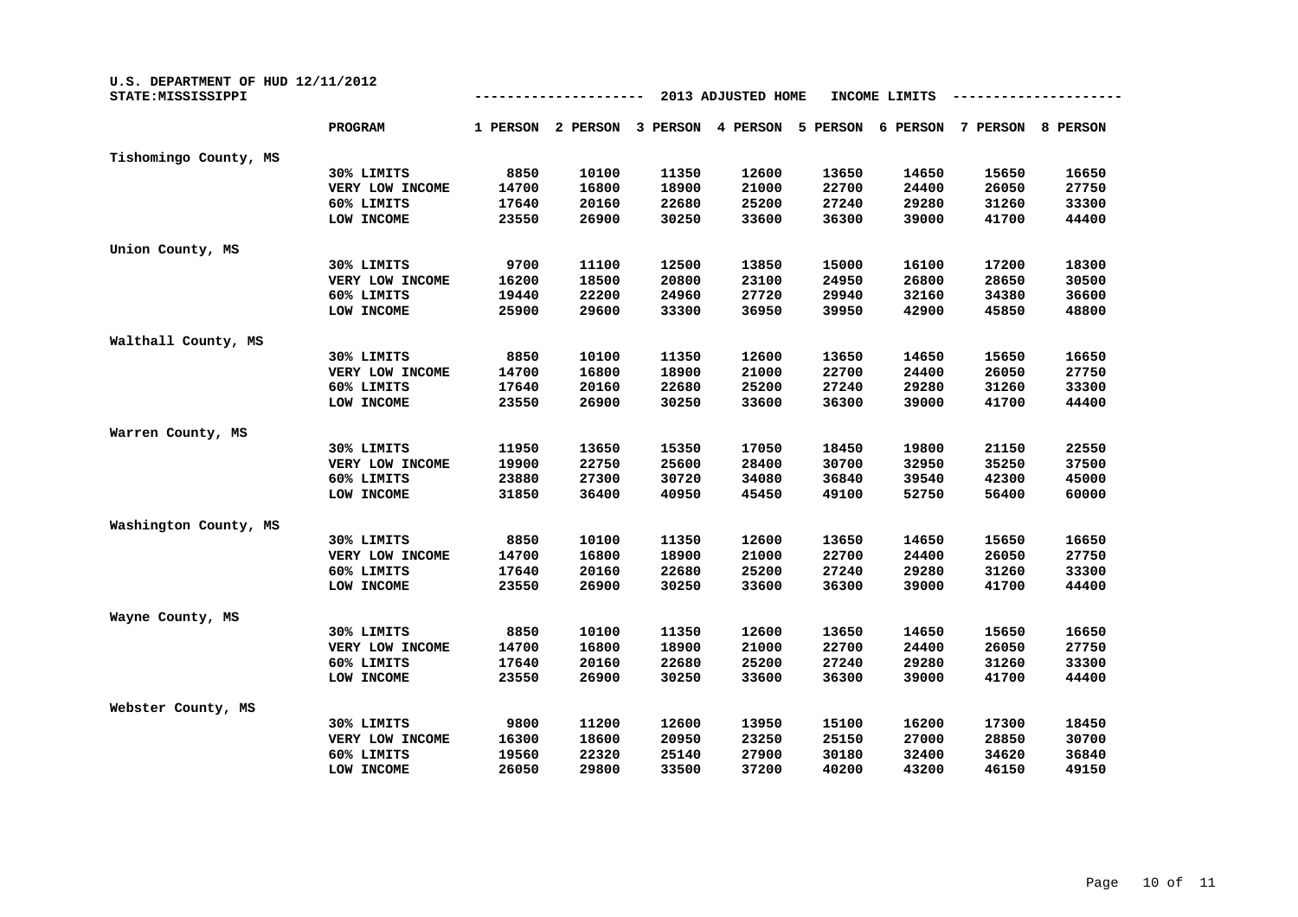| U.S. DEPARTMENT OF HUD 12/11/2012<br>STATE: MISSISSIPPI | 2013 ADJUSTED HOME<br>INCOME LIMITS |          |          |          |          |          |          |          |          |
|---------------------------------------------------------|-------------------------------------|----------|----------|----------|----------|----------|----------|----------|----------|
|                                                         | <b>PROGRAM</b>                      | 1 PERSON | 2 PERSON | 3 PERSON | 4 PERSON | 5 PERSON | 6 PERSON | 7 PERSON | 8 PERSON |
| Tishomingo County, MS                                   |                                     |          |          |          |          |          |          |          |          |
|                                                         | 30% LIMITS                          | 8850     | 10100    | 11350    | 12600    | 13650    | 14650    | 15650    | 16650    |
|                                                         | VERY LOW INCOME                     | 14700    | 16800    | 18900    | 21000    | 22700    | 24400    | 26050    | 27750    |
|                                                         | 60% LIMITS                          | 17640    | 20160    | 22680    | 25200    | 27240    | 29280    | 31260    | 33300    |
|                                                         | LOW INCOME                          | 23550    | 26900    | 30250    | 33600    | 36300    | 39000    | 41700    | 44400    |
| Union County, MS                                        |                                     |          |          |          |          |          |          |          |          |
|                                                         | 30% LIMITS                          | 9700     | 11100    | 12500    | 13850    | 15000    | 16100    | 17200    | 18300    |
|                                                         | VERY LOW INCOME                     | 16200    | 18500    | 20800    | 23100    | 24950    | 26800    | 28650    | 30500    |
|                                                         | 60% LIMITS                          | 19440    | 22200    | 24960    | 27720    | 29940    | 32160    | 34380    | 36600    |
|                                                         | LOW INCOME                          | 25900    | 29600    | 33300    | 36950    | 39950    | 42900    | 45850    | 48800    |
| Walthall County, MS                                     |                                     |          |          |          |          |          |          |          |          |
|                                                         | 30% LIMITS                          | 8850     | 10100    | 11350    | 12600    | 13650    | 14650    | 15650    | 16650    |
|                                                         | VERY LOW INCOME                     | 14700    | 16800    | 18900    | 21000    | 22700    | 24400    | 26050    | 27750    |
|                                                         | 60% LIMITS                          | 17640    | 20160    | 22680    | 25200    | 27240    | 29280    | 31260    | 33300    |
|                                                         | LOW INCOME                          | 23550    | 26900    | 30250    | 33600    | 36300    | 39000    | 41700    | 44400    |
| Warren County, MS                                       |                                     |          |          |          |          |          |          |          |          |
|                                                         | 30% LIMITS                          | 11950    | 13650    | 15350    | 17050    | 18450    | 19800    | 21150    | 22550    |
|                                                         | VERY LOW INCOME                     | 19900    | 22750    | 25600    | 28400    | 30700    | 32950    | 35250    | 37500    |
|                                                         | 60% LIMITS                          | 23880    | 27300    | 30720    | 34080    | 36840    | 39540    | 42300    | 45000    |
|                                                         | LOW INCOME                          | 31850    | 36400    | 40950    | 45450    | 49100    | 52750    | 56400    | 60000    |
| Washington County, MS                                   |                                     |          |          |          |          |          |          |          |          |
|                                                         | 30% LIMITS                          | 8850     | 10100    | 11350    | 12600    | 13650    | 14650    | 15650    | 16650    |
|                                                         | VERY LOW INCOME                     | 14700    | 16800    | 18900    | 21000    | 22700    | 24400    | 26050    | 27750    |
|                                                         | 60% LIMITS                          | 17640    | 20160    | 22680    | 25200    | 27240    | 29280    | 31260    | 33300    |
|                                                         | LOW INCOME                          | 23550    | 26900    | 30250    | 33600    | 36300    | 39000    | 41700    | 44400    |
| Wayne County, MS                                        |                                     |          |          |          |          |          |          |          |          |
|                                                         | 30% LIMITS                          | 8850     | 10100    | 11350    | 12600    | 13650    | 14650    | 15650    | 16650    |
|                                                         | VERY LOW INCOME                     | 14700    | 16800    | 18900    | 21000    | 22700    | 24400    | 26050    | 27750    |
|                                                         | 60% LIMITS                          | 17640    | 20160    | 22680    | 25200    | 27240    | 29280    | 31260    | 33300    |
|                                                         | LOW INCOME                          | 23550    | 26900    | 30250    | 33600    | 36300    | 39000    | 41700    | 44400    |
| Webster County, MS                                      |                                     |          |          |          |          |          |          |          |          |
|                                                         | 30% LIMITS                          | 9800     | 11200    | 12600    | 13950    | 15100    | 16200    | 17300    | 18450    |
|                                                         | VERY LOW INCOME                     | 16300    | 18600    | 20950    | 23250    | 25150    | 27000    | 28850    | 30700    |
|                                                         | 60% LIMITS                          | 19560    | 22320    | 25140    | 27900    | 30180    | 32400    | 34620    | 36840    |
|                                                         | LOW INCOME                          | 26050    | 29800    | 33500    | 37200    | 40200    | 43200    | 46150    | 49150    |